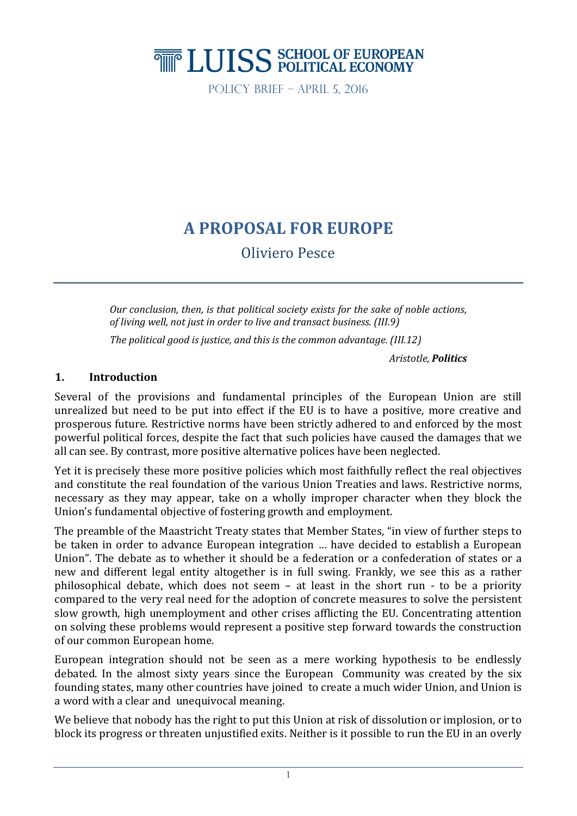# **THE LUISS SCHOOL OF EUROPEAN**

Policy Brief – April 5, 2016

# **A PROPOSAL FOR EUROPE**

Oliviero Pesce

*Our conclusion, then, is that political society exists for the sake of noble actions, of living well, not just in order to live and transact business. (III.9)*

*The political good is justice, and this is the common advantage. (III.12)* 

*Aristotle, Politics*

## **1. Introduction**

Several of the provisions and fundamental principles of the European Union are still unrealized but need to be put into effect if the EU is to have a positive, more creative and prosperous future. Restrictive norms have been strictly adhered to and enforced by the most powerful political forces, despite the fact that such policies have caused the damages that we all can see. By contrast, more positive alternative polices have been neglected.

Yet it is precisely these more positive policies which most faithfully reflect the real objectives and constitute the real foundation of the various Union Treaties and laws. Restrictive norms, necessary as they may appear, take on a wholly improper character when they block the Union's fundamental objective of fostering growth and employment.

The preamble of the Maastricht Treaty states that Member States, "in view of further steps to be taken in order to advance European integration … have decided to establish a European Union". The debate as to whether it should be a federation or a confederation of states or a new and different legal entity altogether is in full swing. Frankly, we see this as a rather philosophical debate, which does not seem – at least in the short run - to be a priority compared to the very real need for the adoption of concrete measures to solve the persistent slow growth, high unemployment and other crises afflicting the EU. Concentrating attention on solving these problems would represent a positive step forward towards the construction of our common European home.

European integration should not be seen as a mere working hypothesis to be endlessly debated. In the almost sixty years since the European Community was created by the six founding states, many other countries have joined to create a much wider Union, and Union is a word with a clear and unequivocal meaning.

We believe that nobody has the right to put this Union at risk of dissolution or implosion, or to block its progress or threaten unjustified exits. Neither is it possible to run the EU in an overly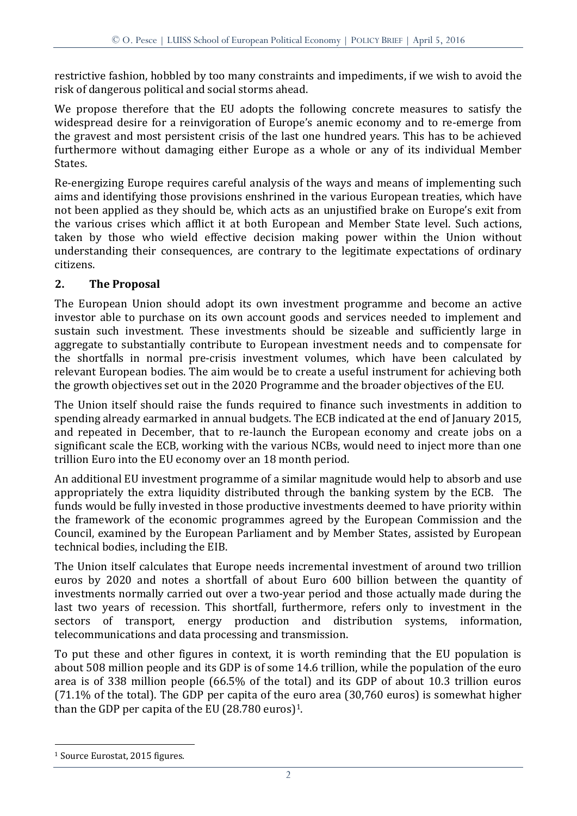restrictive fashion, hobbled by too many constraints and impediments, if we wish to avoid the risk of dangerous political and social storms ahead.

We propose therefore that the EU adopts the following concrete measures to satisfy the widespread desire for a reinvigoration of Europe's anemic economy and to re-emerge from the gravest and most persistent crisis of the last one hundred years. This has to be achieved furthermore without damaging either Europe as a whole or any of its individual Member States.

Re-energizing Europe requires careful analysis of the ways and means of implementing such aims and identifying those provisions enshrined in the various European treaties, which have not been applied as they should be, which acts as an unjustified brake on Europe's exit from the various crises which afflict it at both European and Member State level. Such actions, taken by those who wield effective decision making power within the Union without understanding their consequences, are contrary to the legitimate expectations of ordinary citizens.

# **2. The Proposal**

The European Union should adopt its own investment programme and become an active investor able to purchase on its own account goods and services needed to implement and sustain such investment. These investments should be sizeable and sufficiently large in aggregate to substantially contribute to European investment needs and to compensate for the shortfalls in normal pre-crisis investment volumes, which have been calculated by relevant European bodies. The aim would be to create a useful instrument for achieving both the growth objectives set out in the 2020 Programme and the broader objectives of the EU.

The Union itself should raise the funds required to finance such investments in addition to spending already earmarked in annual budgets. The ECB indicated at the end of January 2015, and repeated in December, that to re-launch the European economy and create jobs on a significant scale the ECB, working with the various NCBs, would need to inject more than one trillion Euro into the EU economy over an 18 month period.

An additional EU investment programme of a similar magnitude would help to absorb and use appropriately the extra liquidity distributed through the banking system by the ECB. The funds would be fully invested in those productive investments deemed to have priority within the framework of the economic programmes agreed by the European Commission and the Council, examined by the European Parliament and by Member States, assisted by European technical bodies, including the EIB.

The Union itself calculates that Europe needs incremental investment of around two trillion euros by 2020 and notes a shortfall of about Euro 600 billion between the quantity of investments normally carried out over a two-year period and those actually made during the last two years of recession. This shortfall, furthermore, refers only to investment in the sectors of transport, energy production and distribution systems, information, telecommunications and data processing and transmission.

To put these and other figures in context, it is worth reminding that the EU population is about 508 million people and its GDP is of some 14.6 trillion, while the population of the euro area is of 338 million people (66.5% of the total) and its GDP of about 10.3 trillion euros (71.1% of the total). The GDP per capita of the euro area (30,760 euros) is somewhat higher than the GDP per capita of the EU  $(28.780 \text{ euros})^1$ .

<sup>1</sup> Source Eurostat, 2015 figures.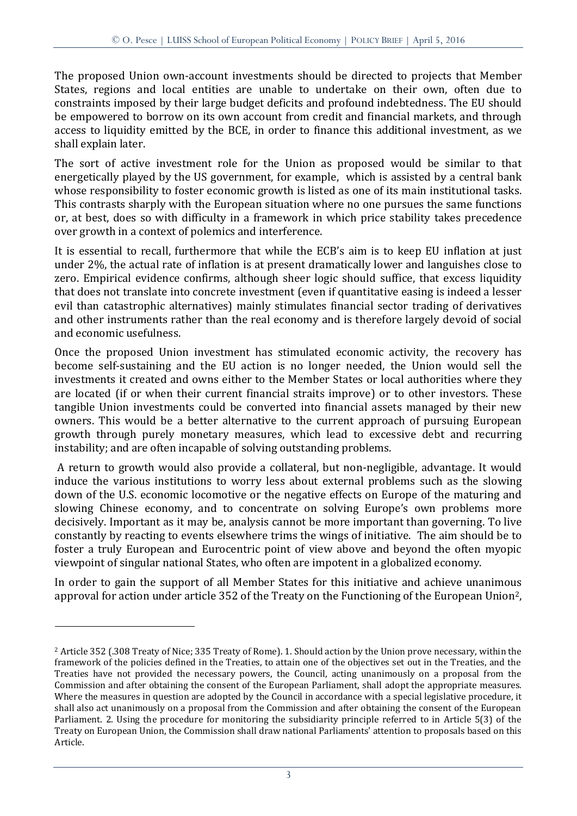The proposed Union own-account investments should be directed to projects that Member States, regions and local entities are unable to undertake on their own, often due to constraints imposed by their large budget deficits and profound indebtedness. The EU should be empowered to borrow on its own account from credit and financial markets, and through access to liquidity emitted by the BCE, in order to finance this additional investment, as we shall explain later.

The sort of active investment role for the Union as proposed would be similar to that energetically played by the US government, for example, which is assisted by a central bank whose responsibility to foster economic growth is listed as one of its main institutional tasks. This contrasts sharply with the European situation where no one pursues the same functions or, at best, does so with difficulty in a framework in which price stability takes precedence over growth in a context of polemics and interference.

It is essential to recall, furthermore that while the ECB's aim is to keep EU inflation at just under 2%, the actual rate of inflation is at present dramatically lower and languishes close to zero. Empirical evidence confirms, although sheer logic should suffice, that excess liquidity that does not translate into concrete investment (even if quantitative easing is indeed a lesser evil than catastrophic alternatives) mainly stimulates financial sector trading of derivatives and other instruments rather than the real economy and is therefore largely devoid of social and economic usefulness.

Once the proposed Union investment has stimulated economic activity, the recovery has become self-sustaining and the EU action is no longer needed, the Union would sell the investments it created and owns either to the Member States or local authorities where they are located (if or when their current financial straits improve) or to other investors. These tangible Union investments could be converted into financial assets managed by their new owners. This would be a better alternative to the current approach of pursuing European growth through purely monetary measures, which lead to excessive debt and recurring instability; and are often incapable of solving outstanding problems.

A return to growth would also provide a collateral, but non-negligible, advantage. It would induce the various institutions to worry less about external problems such as the slowing down of the U.S. economic locomotive or the negative effects on Europe of the maturing and slowing Chinese economy, and to concentrate on solving Europe's own problems more decisively. Important as it may be, analysis cannot be more important than governing. To live constantly by reacting to events elsewhere trims the wings of initiative. The aim should be to foster a truly European and Eurocentric point of view above and beyond the often myopic viewpoint of singular national States, who often are impotent in a globalized economy.

In order to gain the support of all Member States for this initiative and achieve unanimous approval for action under article 352 of the Treaty on the Functioning of the European Union2,

<sup>&</sup>lt;sup>2</sup> Article 352 (.308 Treaty of Nice; 335 Treaty of Rome). 1. Should action by the Union prove necessary, within the framework of the policies defined in the Treaties, to attain one of the objectives set out in the Treaties, and the Treaties have not provided the necessary powers, the Council, acting unanimously on a proposal from the Commission and after obtaining the consent of the European Parliament, shall adopt the appropriate measures. Where the measures in question are adopted by the Council in accordance with a special legislative procedure, it shall also act unanimously on a proposal from the Commission and after obtaining the consent of the European Parliament. 2. Using the procedure for monitoring the subsidiarity principle referred to in Article 5(3) of the Treaty on European Union, the Commission shall draw national Parliaments' attention to proposals based on this Article.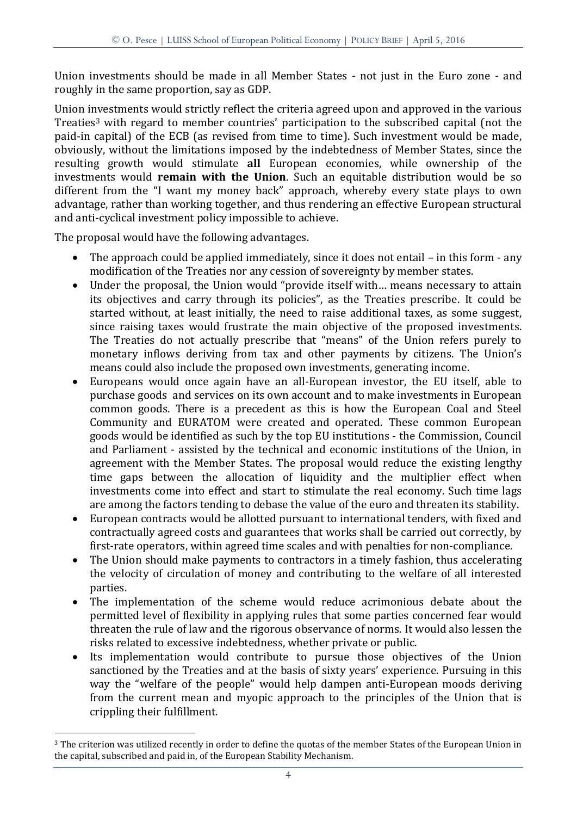Union investments should be made in all Member States - not just in the Euro zone - and roughly in the same proportion, say as GDP.

Union investments would strictly reflect the criteria agreed upon and approved in the various Treaties<sup>3</sup> with regard to member countries' participation to the subscribed capital (not the paid-in capital) of the ECB (as revised from time to time). Such investment would be made, obviously, without the limitations imposed by the indebtedness of Member States, since the resulting growth would stimulate **all** European economies, while ownership of the investments would **remain with the Union**. Such an equitable distribution would be so different from the "I want my money back" approach, whereby every state plays to own advantage, rather than working together, and thus rendering an effective European structural and anti-cyclical investment policy impossible to achieve.

The proposal would have the following advantages.

- The approach could be applied immediately, since it does not entail in this form any modification of the Treaties nor any cession of sovereignty by member states.
- Under the proposal, the Union would "provide itself with… means necessary to attain its objectives and carry through its policies", as the Treaties prescribe. It could be started without, at least initially, the need to raise additional taxes, as some suggest, since raising taxes would frustrate the main objective of the proposed investments. The Treaties do not actually prescribe that "means" of the Union refers purely to monetary inflows deriving from tax and other payments by citizens. The Union's means could also include the proposed own investments, generating income.
- Europeans would once again have an all-European investor, the EU itself, able to purchase goods and services on its own account and to make investments in European common goods. There is a precedent as this is how the European Coal and Steel Community and EURATOM were created and operated. These common European goods would be identified as such by the top EU institutions - the Commission, Council and Parliament - assisted by the technical and economic institutions of the Union, in agreement with the Member States. The proposal would reduce the existing lengthy time gaps between the allocation of liquidity and the multiplier effect when investments come into effect and start to stimulate the real economy. Such time lags are among the factors tending to debase the value of the euro and threaten its stability.
- European contracts would be allotted pursuant to international tenders, with fixed and contractually agreed costs and guarantees that works shall be carried out correctly, by first-rate operators, within agreed time scales and with penalties for non-compliance.
- The Union should make payments to contractors in a timely fashion, thus accelerating the velocity of circulation of money and contributing to the welfare of all interested parties.
- The implementation of the scheme would reduce acrimonious debate about the permitted level of flexibility in applying rules that some parties concerned fear would threaten the rule of law and the rigorous observance of norms. It would also lessen the risks related to excessive indebtedness, whether private or public.
- Its implementation would contribute to pursue those objectives of the Union sanctioned by the Treaties and at the basis of sixty years' experience. Pursuing in this way the "welfare of the people" would help dampen anti-European moods deriving from the current mean and myopic approach to the principles of the Union that is crippling their fulfillment.

<sup>&</sup>lt;sup>3</sup> The criterion was utilized recently in order to define the quotas of the member States of the European Union in the capital, subscribed and paid in, of the European Stability Mechanism.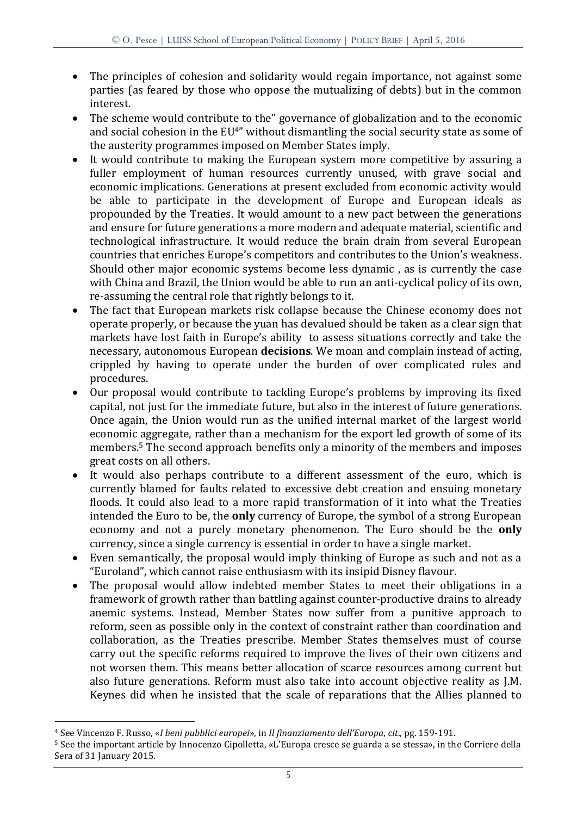- The principles of cohesion and solidarity would regain importance, not against some parties (as feared by those who oppose the mutualizing of debts) but in the common interest.
- The scheme would contribute to the" governance of globalization and to the economic and social cohesion in the EU<sup>4"</sup> without dismantling the social security state as some of the austerity programmes imposed on Member States imply.
- It would contribute to making the European system more competitive by assuring a fuller employment of human resources currently unused, with grave social and economic implications. Generations at present excluded from economic activity would be able to participate in the development of Europe and European ideals as propounded by the Treaties. It would amount to a new pact between the generations and ensure for future generations a more modern and adequate material, scientific and technological infrastructure. It would reduce the brain drain from several European countries that enriches Europe's competitors and contributes to the Union's weakness. Should other major economic systems become less dynamic , as is currently the case with China and Brazil, the Union would be able to run an anti-cyclical policy of its own, re-assuming the central role that rightly belongs to it.
- The fact that European markets risk collapse because the Chinese economy does not operate properly, or because the yuan has devalued should be taken as a clear sign that markets have lost faith in Europe's ability to assess situations correctly and take the necessary, autonomous European **decisions**. We moan and complain instead of acting, crippled by having to operate under the burden of over complicated rules and procedures.
- Our proposal would contribute to tackling Europe's problems by improving its fixed capital, not just for the immediate future, but also in the interest of future generations. Once again, the Union would run as the unified internal market of the largest world economic aggregate, rather than a mechanism for the export led growth of some of its members.<sup>5</sup> The second approach benefits only a minority of the members and imposes great costs on all others.
- It would also perhaps contribute to a different assessment of the euro, which is currently blamed for faults related to excessive debt creation and ensuing monetary floods. It could also lead to a more rapid transformation of it into what the Treaties intended the Euro to be, the **only** currency of Europe, the symbol of a strong European economy and not a purely monetary phenomenon. The Euro should be the **only**  currency, since a single currency is essential in order to have a single market.
- Even semantically, the proposal would imply thinking of Europe as such and not as a "Euroland", which cannot raise enthusiasm with its insipid Disney flavour.
- The proposal would allow indebted member States to meet their obligations in a framework of growth rather than battling against counter-productive drains to already anemic systems. Instead, Member States now suffer from a punitive approach to reform, seen as possible only in the context of constraint rather than coordination and collaboration, as the Treaties prescribe. Member States themselves must of course carry out the specific reforms required to improve the lives of their own citizens and not worsen them. This means better allocation of scarce resources among current but also future generations. Reform must also take into account objective reality as J.M. Keynes did when he insisted that the scale of reparations that the Allies planned to

<sup>4</sup> See Vincenzo F. Russo, «*I beni pubblici europei*», in *Il finanziamento dell'Europa*, *cit*., pg. 159-191.

<sup>5</sup> See the important article by Innocenzo Cipolletta, «L'Europa cresce se guarda a se stessa», in the Corriere della Sera of 31 January 2015.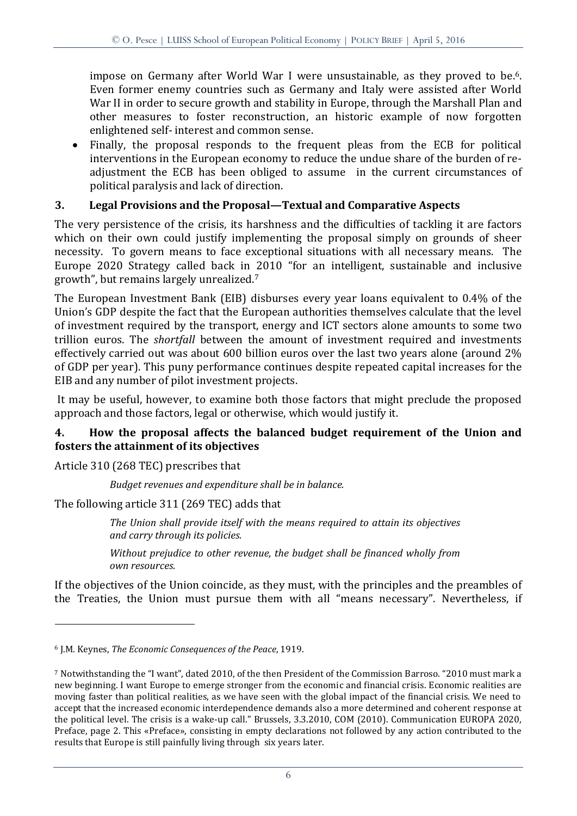impose on Germany after World War I were unsustainable, as they proved to be.<sup>6</sup>. Even former enemy countries such as Germany and Italy were assisted after World War II in order to secure growth and stability in Europe, through the Marshall Plan and other measures to foster reconstruction, an historic example of now forgotten enlightened self- interest and common sense.

• Finally, the proposal responds to the frequent pleas from the ECB for political interventions in the European economy to reduce the undue share of the burden of readjustment the ECB has been obliged to assume in the current circumstances of political paralysis and lack of direction.

## **3. Legal Provisions and the Proposal—Textual and Comparative Aspects**

The very persistence of the crisis, its harshness and the difficulties of tackling it are factors which on their own could justify implementing the proposal simply on grounds of sheer necessity. To govern means to face exceptional situations with all necessary means. The Europe 2020 Strategy called back in 2010 "for an intelligent, sustainable and inclusive growth", but remains largely unrealized. 7

The European Investment Bank (EIB) disburses every year loans equivalent to 0.4% of the Union's GDP despite the fact that the European authorities themselves calculate that the level of investment required by the transport, energy and ICT sectors alone amounts to some two trillion euros. The *shortfall* between the amount of investment required and investments effectively carried out was about 600 billion euros over the last two years alone (around 2% of GDP per year). This puny performance continues despite repeated capital increases for the EIB and any number of pilot investment projects.

It may be useful, however, to examine both those factors that might preclude the proposed approach and those factors, legal or otherwise, which would justify it.

## **4. How the proposal affects the balanced budget requirement of the Union and fosters the attainment of its objectives**

Article 310 (268 TEC) prescribes that

<u>.</u>

*Budget revenues and expenditure shall be in balance.*

The following article 311 (269 TEC) adds that

*The Union shall provide itself with the means required to attain its objectives and carry through its policies.*

*Without prejudice to other revenue, the budget shall be financed wholly from own resources.*

If the objectives of the Union coincide, as they must, with the principles and the preambles of the Treaties, the Union must pursue them with all "means necessary". Nevertheless, if

<sup>6</sup> J.M. Keynes, *The Economic Consequences of the Peace*, 1919.

<sup>7</sup> Notwithstanding the "I want", dated 2010, of the then President of the Commission Barroso. "2010 must mark a new beginning. I want Europe to emerge stronger from the economic and financial crisis. Economic realities are moving faster than political realities, as we have seen with the global impact of the financial crisis. We need to accept that the increased economic interdependence demands also a more determined and coherent response at the political level. The crisis is a wake-up call." Brussels, 3.3.2010, COM (2010). Communication EUROPA 2020, Preface, page 2. This «Preface», consisting in empty declarations not followed by any action contributed to the results that Europe is still painfully living through six years later.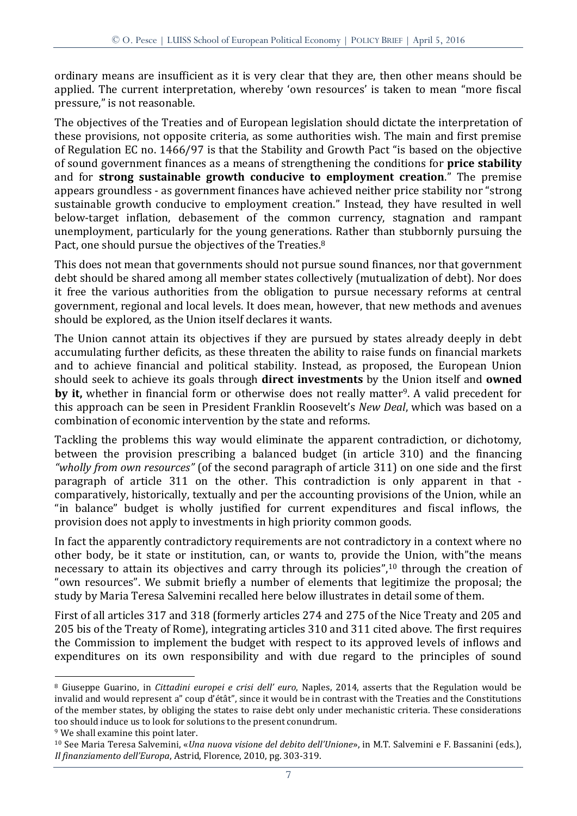ordinary means are insufficient as it is very clear that they are, then other means should be applied. The current interpretation, whereby 'own resources' is taken to mean "more fiscal pressure," is not reasonable.

The objectives of the Treaties and of European legislation should dictate the interpretation of these provisions, not opposite criteria, as some authorities wish. The main and first premise of Regulation EC no. 1466/97 is that the Stability and Growth Pact "is based on the objective of sound government finances as a means of strengthening the conditions for **price stability** and for **strong sustainable growth conducive to employment creation**." The premise appears groundless - as government finances have achieved neither price stability nor "strong sustainable growth conducive to employment creation." Instead, they have resulted in well below-target inflation, debasement of the common currency, stagnation and rampant unemployment, particularly for the young generations. Rather than stubbornly pursuing the Pact, one should pursue the objectives of the Treaties.<sup>8</sup>

This does not mean that governments should not pursue sound finances, nor that government debt should be shared among all member states collectively (mutualization of debt). Nor does it free the various authorities from the obligation to pursue necessary reforms at central government, regional and local levels. It does mean, however, that new methods and avenues should be explored, as the Union itself declares it wants.

The Union cannot attain its objectives if they are pursued by states already deeply in debt accumulating further deficits, as these threaten the ability to raise funds on financial markets and to achieve financial and political stability. Instead, as proposed, the European Union should seek to achieve its goals through **direct investments** by the Union itself and **owned by it,** whether in financial form or otherwise does not really matter<sup>9</sup>. A valid precedent for this approach can be seen in President Franklin Roosevelt's *New Deal*, which was based on a combination of economic intervention by the state and reforms.

Tackling the problems this way would eliminate the apparent contradiction, or dichotomy, between the provision prescribing a balanced budget (in article 310) and the financing *"wholly from own resources"* (of the second paragraph of article 311) on one side and the first paragraph of article 311 on the other. This contradiction is only apparent in that comparatively, historically, textually and per the accounting provisions of the Union, while an "in balance" budget is wholly justified for current expenditures and fiscal inflows, the provision does not apply to investments in high priority common goods.

In fact the apparently contradictory requirements are not contradictory in a context where no other body, be it state or institution, can, or wants to, provide the Union, with"the means necessary to attain its objectives and carry through its policies",<sup>10</sup> through the creation of "own resources". We submit briefly a number of elements that legitimize the proposal; the study by Maria Teresa Salvemini recalled here below illustrates in detail some of them.

First of all articles 317 and 318 (formerly articles 274 and 275 of the Nice Treaty and 205 and 205 bis of the Treaty of Rome), integrating articles 310 and 311 cited above. The first requires the Commission to implement the budget with respect to its approved levels of inflows and expenditures on its own responsibility and with due regard to the principles of sound

<sup>9</sup> We shall examine this point later.

<sup>8</sup> Giuseppe Guarino, in *Cittadini europei e crisi dell' euro*, Naples, 2014, asserts that the Regulation would be invalid and would represent a" coup d'étât", since it would be in contrast with the Treaties and the Constitutions of the member states, by obliging the states to raise debt only under mechanistic criteria. These considerations too should induce us to look for solutions to the present conundrum.

<sup>10</sup> See Maria Teresa Salvemini, «*Una nuova visione del debito dell'Unione*», in M.T. Salvemini e F. Bassanini (eds.), *Il finanziamento dell'Europa*, Astrid, Florence, 2010, pg. 303-319.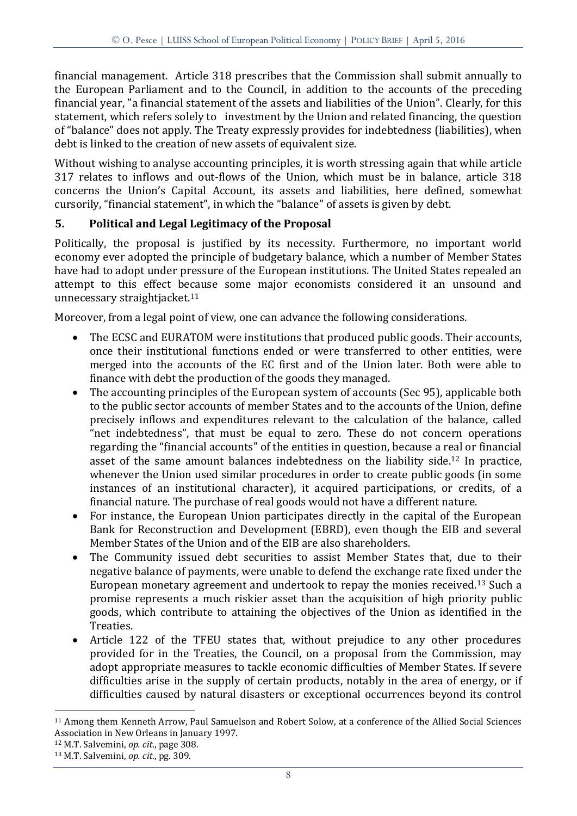financial management. Article 318 prescribes that the Commission shall submit annually to the European Parliament and to the Council, in addition to the accounts of the preceding financial year, "a financial statement of the assets and liabilities of the Union". Clearly, for this statement, which refers solely to investment by the Union and related financing, the question of "balance" does not apply. The Treaty expressly provides for indebtedness (liabilities), when debt is linked to the creation of new assets of equivalent size.

Without wishing to analyse accounting principles, it is worth stressing again that while article 317 relates to inflows and out-flows of the Union, which must be in balance, article 318 concerns the Union's Capital Account, its assets and liabilities, here defined, somewhat cursorily, "financial statement", in which the "balance" of assets is given by debt.

# **5. Political and Legal Legitimacy of the Proposal**

Politically, the proposal is justified by its necessity. Furthermore, no important world economy ever adopted the principle of budgetary balance, which a number of Member States have had to adopt under pressure of the European institutions. The United States repealed an attempt to this effect because some major economists considered it an unsound and unnecessary straightjacket. 11

Moreover, from a legal point of view, one can advance the following considerations.

- The ECSC and EURATOM were institutions that produced public goods. Their accounts, once their institutional functions ended or were transferred to other entities, were merged into the accounts of the EC first and of the Union later. Both were able to finance with debt the production of the goods they managed.
- The accounting principles of the European system of accounts (Sec 95), applicable both to the public sector accounts of member States and to the accounts of the Union, define precisely inflows and expenditures relevant to the calculation of the balance, called "net indebtedness", that must be equal to zero. These do not concern operations regarding the "financial accounts" of the entities in question, because a real or financial asset of the same amount balances indebtedness on the liability side.<sup>12</sup> In practice, whenever the Union used similar procedures in order to create public goods (in some instances of an institutional character), it acquired participations, or credits, of a financial nature. The purchase of real goods would not have a different nature.
- For instance, the European Union participates directly in the capital of the European Bank for Reconstruction and Development (EBRD), even though the EIB and several Member States of the Union and of the EIB are also shareholders.
- The Community issued debt securities to assist Member States that, due to their negative balance of payments, were unable to defend the exchange rate fixed under the European monetary agreement and undertook to repay the monies received. <sup>13</sup> Such a promise represents a much riskier asset than the acquisition of high priority public goods, which contribute to attaining the objectives of the Union as identified in the Treaties.
- Article 122 of the TFEU states that, without prejudice to any other procedures provided for in the Treaties, the Council, on a proposal from the Commission, may adopt appropriate measures to tackle economic difficulties of Member States. If severe difficulties arise in the supply of certain products, notably in the area of energy, or if difficulties caused by natural disasters or exceptional occurrences beyond its control

<sup>11</sup> Among them Kenneth Arrow, Paul Samuelson and Robert Solow, at a conference of the Allied Social Sciences Association in New Orleans in January 1997.

<sup>12</sup> M.T. Salvemini, *op. cit*., page 308.

<sup>13</sup> M.T. Salvemini, *op. cit*., pg. 309.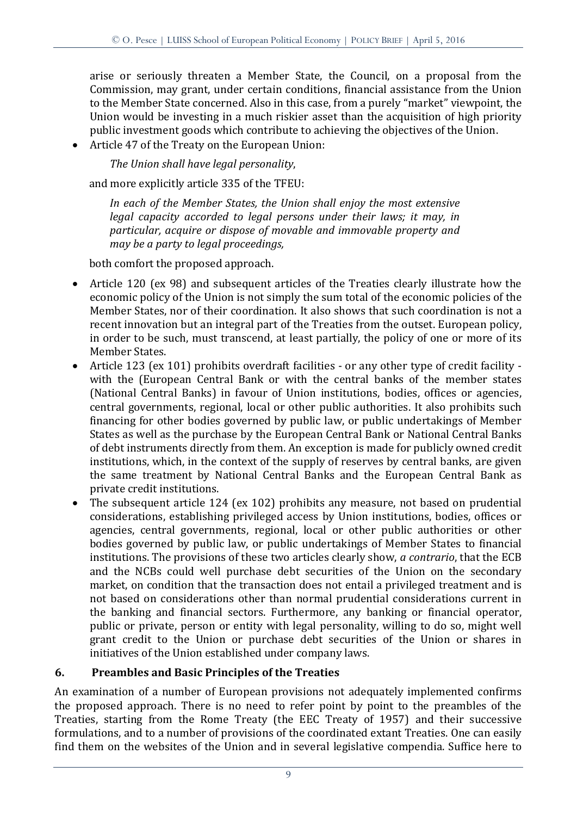arise or seriously threaten a Member State, the Council, on a proposal from the Commission, may grant, under certain conditions, financial assistance from the Union to the Member State concerned. Also in this case, from a purely "market" viewpoint, the Union would be investing in a much riskier asset than the acquisition of high priority public investment goods which contribute to achieving the objectives of the Union.

Article 47 of the Treaty on the European Union:

*The Union shall have legal personality*,

and more explicitly article 335 of the TFEU:

*In each of the Member States, the Union shall enjoy the most extensive legal capacity accorded to legal persons under their laws; it may, in particular, acquire or dispose of movable and immovable property and may be a party to legal proceedings,*

both comfort the proposed approach.

- Article 120 (ex 98) and subsequent articles of the Treaties clearly illustrate how the economic policy of the Union is not simply the sum total of the economic policies of the Member States, nor of their coordination. It also shows that such coordination is not a recent innovation but an integral part of the Treaties from the outset. European policy, in order to be such, must transcend, at least partially, the policy of one or more of its Member States.
- Article 123 (ex 101) prohibits overdraft facilities or any other type of credit facility with the (European Central Bank or with the central banks of the member states (National Central Banks) in favour of Union institutions, bodies, offices or agencies, central governments, regional, local or other public authorities. It also prohibits such financing for other bodies governed by public law, or public undertakings of Member States as well as the purchase by the European Central Bank or National Central Banks of debt instruments directly from them. An exception is made for publicly owned credit institutions, which, in the context of the supply of reserves by central banks, are given the same treatment by National Central Banks and the European Central Bank as private credit institutions.
- The subsequent article 124 (ex 102) prohibits any measure, not based on prudential considerations, establishing privileged access by Union institutions, bodies, offices or agencies, central governments, regional, local or other public authorities or other bodies governed by public law, or public undertakings of Member States to financial institutions. The provisions of these two articles clearly show, *a contrario*, that the ECB and the NCBs could well purchase debt securities of the Union on the secondary market, on condition that the transaction does not entail a privileged treatment and is not based on considerations other than normal prudential considerations current in the banking and financial sectors. Furthermore, any banking or financial operator, public or private, person or entity with legal personality, willing to do so, might well grant credit to the Union or purchase debt securities of the Union or shares in initiatives of the Union established under company laws.

## **6. Preambles and Basic Principles of the Treaties**

An examination of a number of European provisions not adequately implemented confirms the proposed approach. There is no need to refer point by point to the preambles of the Treaties, starting from the Rome Treaty (the EEC Treaty of 1957) and their successive formulations, and to a number of provisions of the coordinated extant Treaties. One can easily find them on the websites of the Union and in several legislative compendia. Suffice here to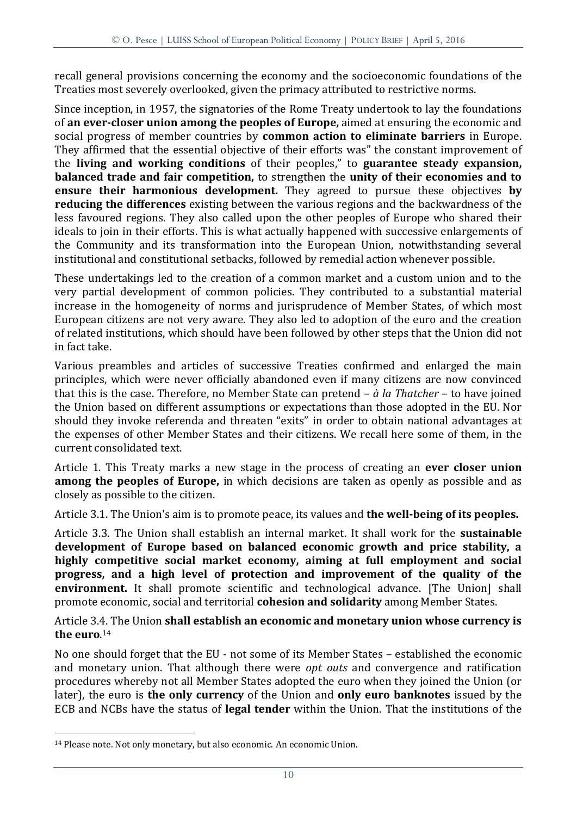recall general provisions concerning the economy and the socioeconomic foundations of the Treaties most severely overlooked, given the primacy attributed to restrictive norms.

Since inception, in 1957, the signatories of the Rome Treaty undertook to lay the foundations of **an ever-closer union among the peoples of Europe,** aimed at ensuring the economic and social progress of member countries by **common action to eliminate barriers** in Europe. They affirmed that the essential objective of their efforts was" the constant improvement of the **living and working conditions** of their peoples," to **guarantee steady expansion, balanced trade and fair competition,** to strengthen the **unity of their economies and to ensure their harmonious development.** They agreed to pursue these objectives **by reducing the differences** existing between the various regions and the backwardness of the less favoured regions. They also called upon the other peoples of Europe who shared their ideals to join in their efforts. This is what actually happened with successive enlargements of the Community and its transformation into the European Union, notwithstanding several institutional and constitutional setbacks, followed by remedial action whenever possible.

These undertakings led to the creation of a common market and a custom union and to the very partial development of common policies. They contributed to a substantial material increase in the homogeneity of norms and jurisprudence of Member States, of which most European citizens are not very aware. They also led to adoption of the euro and the creation of related institutions, which should have been followed by other steps that the Union did not in fact take.

Various preambles and articles of successive Treaties confirmed and enlarged the main principles, which were never officially abandoned even if many citizens are now convinced that this is the case. Therefore, no Member State can pretend – *à la Thatcher* – to have joined the Union based on different assumptions or expectations than those adopted in the EU. Nor should they invoke referenda and threaten "exits" in order to obtain national advantages at the expenses of other Member States and their citizens. We recall here some of them, in the current consolidated text.

Article 1. This Treaty marks a new stage in the process of creating an **ever closer union among the peoples of Europe,** in which decisions are taken as openly as possible and as closely as possible to the citizen.

Article 3.1. The Union's aim is to promote peace, its values and **the well-being of its peoples.**

Article 3.3. The Union shall establish an internal market. It shall work for the **sustainable development of Europe based on balanced economic growth and price stability, a highly competitive social market economy, aiming at full employment and social progress, and a high level of protection and improvement of the quality of the environment.** It shall promote scientific and technological advance. [The Union] shall promote economic, social and territorial **cohesion and solidarity** among Member States.

Article 3.4. The Union **shall establish an economic and monetary union whose currency is the euro**. 14

No one should forget that the EU - not some of its Member States – established the economic and monetary union. That although there were *opt outs* and convergence and ratification procedures whereby not all Member States adopted the euro when they joined the Union (or later), the euro is **the only currency** of the Union and **only euro banknotes** issued by the ECB and NCBs have the status of **legal tender** within the Union. That the institutions of the

<sup>14</sup> Please note. Not only monetary, but also economic. An economic Union.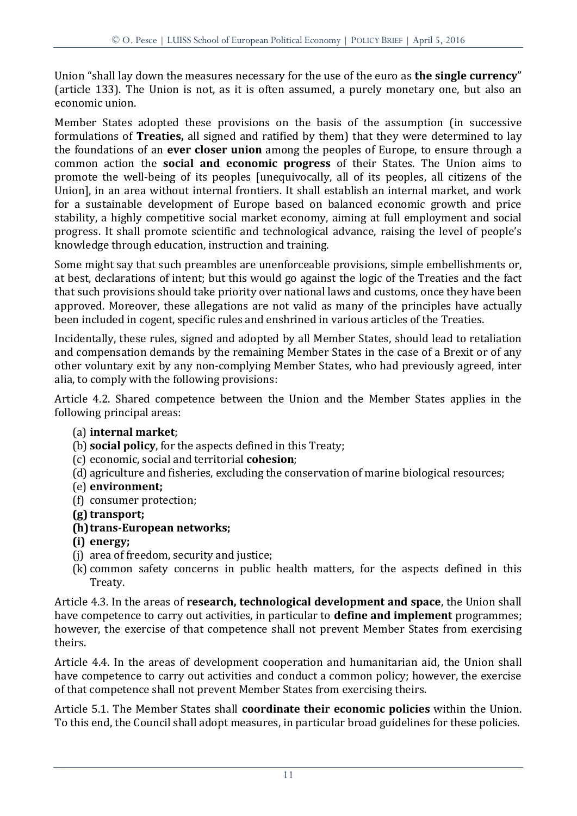Union "shall lay down the measures necessary for the use of the euro as **the single currency**" (article 133). The Union is not, as it is often assumed, a purely monetary one, but also an economic union.

Member States adopted these provisions on the basis of the assumption (in successive formulations of **Treaties,** all signed and ratified by them) that they were determined to lay the foundations of an **ever closer union** among the peoples of Europe, to ensure through a common action the **social and economic progress** of their States. The Union aims to promote the well-being of its peoples [unequivocally, all of its peoples, all citizens of the Union], in an area without internal frontiers. It shall establish an internal market, and work for a sustainable development of Europe based on balanced economic growth and price stability, a highly competitive social market economy, aiming at full employment and social progress. It shall promote scientific and technological advance, raising the level of people's knowledge through education, instruction and training.

Some might say that such preambles are unenforceable provisions, simple embellishments or, at best, declarations of intent; but this would go against the logic of the Treaties and the fact that such provisions should take priority over national laws and customs, once they have been approved. Moreover, these allegations are not valid as many of the principles have actually been included in cogent, specific rules and enshrined in various articles of the Treaties.

Incidentally, these rules, signed and adopted by all Member States, should lead to retaliation and compensation demands by the remaining Member States in the case of a Brexit or of any other voluntary exit by any non-complying Member States, who had previously agreed, inter alia, to comply with the following provisions:

Article 4.2. Shared competence between the Union and the Member States applies in the following principal areas:

- (a) **internal market**;
- (b) **social policy**, for the aspects defined in this Treaty;
- (c) economic, social and territorial **cohesion**;
- (d) agriculture and fisheries, excluding the conservation of marine biological resources;
- (e) **environment;**
- (f) consumer protection;
- **(g) transport;**
- **(h)trans-European networks;**
- **(i) energy;**
- (j) area of freedom, security and justice;
- (k) common safety concerns in public health matters, for the aspects defined in this Treaty.

Article 4.3. In the areas of **research, technological development and space**, the Union shall have competence to carry out activities, in particular to **define and implement** programmes; however, the exercise of that competence shall not prevent Member States from exercising theirs.

Article 4.4. In the areas of development cooperation and humanitarian aid, the Union shall have competence to carry out activities and conduct a common policy; however, the exercise of that competence shall not prevent Member States from exercising theirs.

Article 5.1. The Member States shall **coordinate their economic policies** within the Union. To this end, the Council shall adopt measures, in particular broad guidelines for these policies.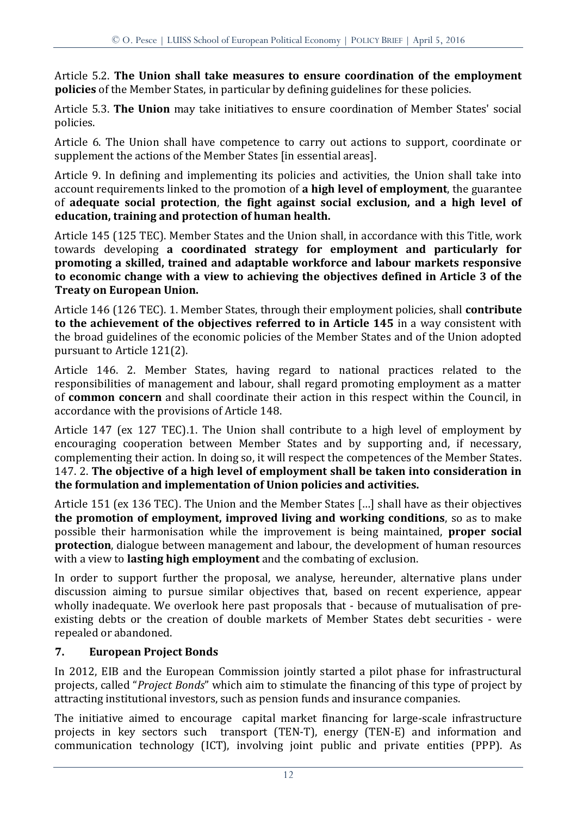Article 5.2. **The Union shall take measures to ensure coordination of the employment policies** of the Member States, in particular by defining guidelines for these policies.

Article 5.3. **The Union** may take initiatives to ensure coordination of Member States' social policies.

Article 6. The Union shall have competence to carry out actions to support, coordinate or supplement the actions of the Member States [in essential areas].

Article 9. In defining and implementing its policies and activities, the Union shall take into account requirements linked to the promotion of **a high level of employment**, the guarantee of **adequate social protection**, **the fight against social exclusion, and a high level of education, training and protection of human health.**

Article 145 (125 TEC). Member States and the Union shall, in accordance with this Title, work towards developing **a coordinated strategy for employment and particularly for promoting a skilled, trained and adaptable workforce and labour markets responsive to economic change with a view to achieving the objectives defined in Article 3 of the Treaty on European Union.**

Article 146 (126 TEC). 1. Member States, through their employment policies, shall **contribute to the achievement of the objectives referred to in Article 145** in a way consistent with the broad guidelines of the economic policies of the Member States and of the Union adopted pursuant to Article 121(2).

Article 146. 2. Member States, having regard to national practices related to the responsibilities of management and labour, shall regard promoting employment as a matter of **common concern** and shall coordinate their action in this respect within the Council, in accordance with the provisions of Article 148.

Article 147 (ex 127 TEC).1. The Union shall contribute to a high level of employment by encouraging cooperation between Member States and by supporting and, if necessary, complementing their action. In doing so, it will respect the competences of the Member States. 147. 2. **The objective of a high level of employment shall be taken into consideration in the formulation and implementation of Union policies and activities.**

Article 151 (ex 136 TEC). The Union and the Member States […] shall have as their objectives **the promotion of employment, improved living and working conditions**, so as to make possible their harmonisation while the improvement is being maintained, **proper social protection**, dialogue between management and labour, the development of human resources with a view to **lasting high employment** and the combating of exclusion.

In order to support further the proposal, we analyse, hereunder, alternative plans under discussion aiming to pursue similar objectives that, based on recent experience, appear wholly inadequate. We overlook here past proposals that - because of mutualisation of preexisting debts or the creation of double markets of Member States debt securities - were repealed or abandoned.

# **7. European Project Bonds**

In 2012, EIB and the European Commission jointly started a pilot phase for infrastructural projects, called "*Project Bonds*" which aim to stimulate the financing of this type of project by attracting institutional investors, such as pension funds and insurance companies.

The initiative aimed to encourage capital market financing for large-scale infrastructure projects in key sectors such transport (TEN-T), energy (TEN-E) and information and communication technology (ICT), involving joint public and private entities (PPP). As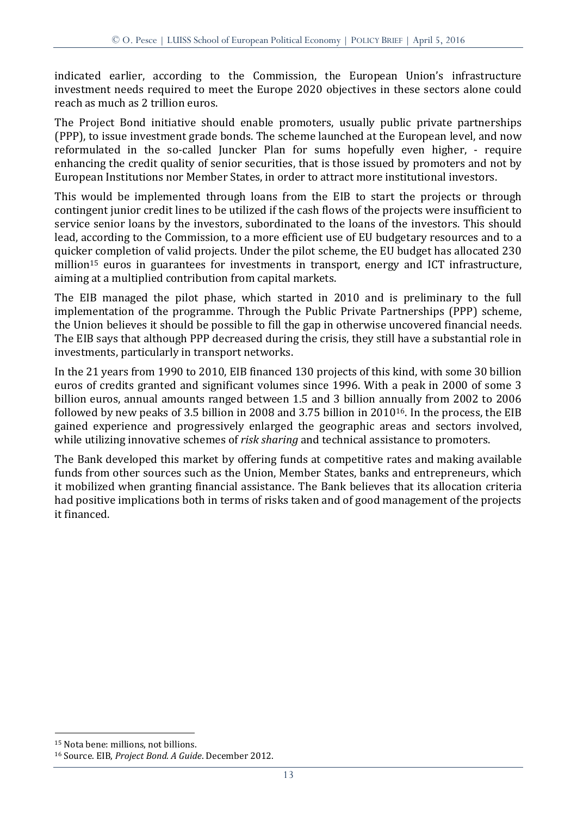indicated earlier, according to the Commission, the European Union's infrastructure investment needs required to meet the Europe 2020 objectives in these sectors alone could reach as much as 2 trillion euros.

The Project Bond initiative should enable promoters, usually public private partnerships (PPP), to issue investment grade bonds. The scheme launched at the European level, and now reformulated in the so-called Juncker Plan for sums hopefully even higher, - require enhancing the credit quality of senior securities, that is those issued by promoters and not by European Institutions nor Member States, in order to attract more institutional investors.

This would be implemented through loans from the EIB to start the projects or through contingent junior credit lines to be utilized if the cash flows of the projects were insufficient to service senior loans by the investors, subordinated to the loans of the investors. This should lead, according to the Commission, to a more efficient use of EU budgetary resources and to a quicker completion of valid projects. Under the pilot scheme, the EU budget has allocated 230 million<sup>15</sup> euros in guarantees for investments in transport, energy and ICT infrastructure, aiming at a multiplied contribution from capital markets.

The EIB managed the pilot phase, which started in 2010 and is preliminary to the full implementation of the programme. Through the Public Private Partnerships (PPP) scheme, the Union believes it should be possible to fill the gap in otherwise uncovered financial needs. The EIB says that although PPP decreased during the crisis, they still have a substantial role in investments, particularly in transport networks.

In the 21 years from 1990 to 2010, EIB financed 130 projects of this kind, with some 30 billion euros of credits granted and significant volumes since 1996. With a peak in 2000 of some 3 billion euros, annual amounts ranged between 1.5 and 3 billion annually from 2002 to 2006 followed by new peaks of 3.5 billion in 2008 and 3.75 billion in 201016. In the process, the EIB gained experience and progressively enlarged the geographic areas and sectors involved, while utilizing innovative schemes of *risk sharing* and technical assistance to promoters.

The Bank developed this market by offering funds at competitive rates and making available funds from other sources such as the Union, Member States, banks and entrepreneurs, which it mobilized when granting financial assistance. The Bank believes that its allocation criteria had positive implications both in terms of risks taken and of good management of the projects it financed.

<sup>15</sup> Nota bene: millions, not billions.

<sup>16</sup> Source. EIB, *Project Bond. A Guide*. December 2012.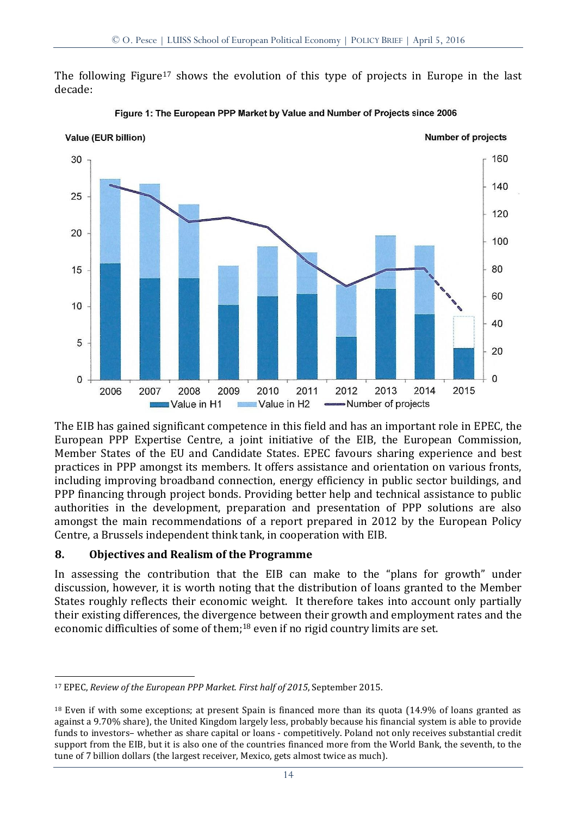The following Figure<sup>17</sup> shows the evolution of this type of projects in Europe in the last decade:



Figure 1: The European PPP Market by Value and Number of Projects since 2006

The EIB has gained significant competence in this field and has an important role in EPEC, the European PPP Expertise Centre, a joint initiative of the EIB, the European Commission, Member States of the EU and Candidate States. EPEC favours sharing experience and best practices in PPP amongst its members. It offers assistance and orientation on various fronts, including improving broadband connection, energy efficiency in public sector buildings, and PPP financing through project bonds. Providing better help and technical assistance to public authorities in the development, preparation and presentation of PPP solutions are also amongst the main recommendations of a report prepared in 2012 by the European Policy Centre, a Brussels independent think tank, in cooperation with EIB.

#### **8. Objectives and Realism of the Programme**

<u>.</u>

In assessing the contribution that the EIB can make to the "plans for growth" under discussion, however, it is worth noting that the distribution of loans granted to the Member States roughly reflects their economic weight. It therefore takes into account only partially their existing differences, the divergence between their growth and employment rates and the economic difficulties of some of them;<sup>18</sup> even if no rigid country limits are set.

<sup>17</sup> EPEC, *Review of the European PPP Market. First half of 2015*, September 2015.

<sup>18</sup> Even if with some exceptions; at present Spain is financed more than its quota (14.9% of loans granted as against a 9.70% share), the United Kingdom largely less, probably because his financial system is able to provide funds to investors– whether as share capital or loans - competitively. Poland not only receives substantial credit support from the EIB, but it is also one of the countries financed more from the World Bank, the seventh, to the tune of 7 billion dollars (the largest receiver, Mexico, gets almost twice as much).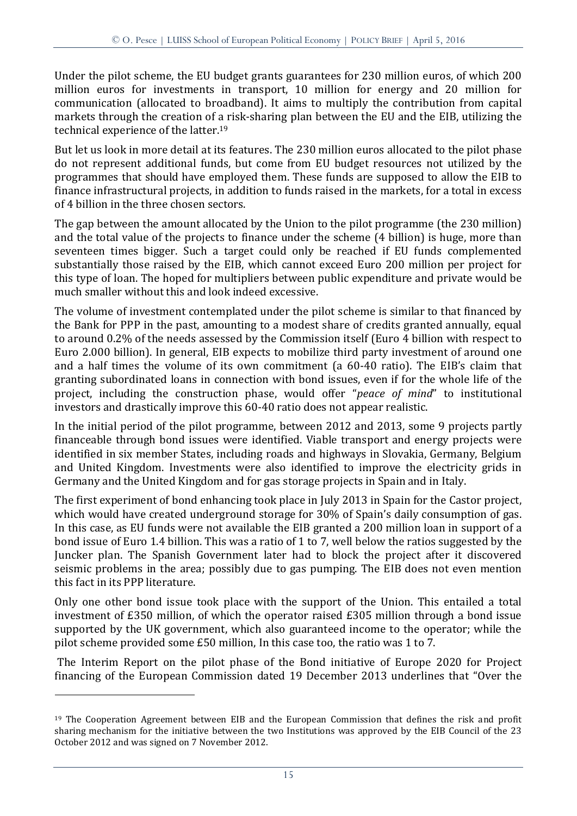Under the pilot scheme, the EU budget grants guarantees for 230 million euros, of which 200 million euros for investments in transport, 10 million for energy and 20 million for communication (allocated to broadband). It aims to multiply the contribution from capital markets through the creation of a risk-sharing plan between the EU and the EIB, utilizing the technical experience of the latter. 19

But let us look in more detail at its features. The 230 million euros allocated to the pilot phase do not represent additional funds, but come from EU budget resources not utilized by the programmes that should have employed them. These funds are supposed to allow the EIB to finance infrastructural projects, in addition to funds raised in the markets, for a total in excess of 4 billion in the three chosen sectors.

The gap between the amount allocated by the Union to the pilot programme (the 230 million) and the total value of the projects to finance under the scheme (4 billion) is huge, more than seventeen times bigger. Such a target could only be reached if EU funds complemented substantially those raised by the EIB, which cannot exceed Euro 200 million per project for this type of loan. The hoped for multipliers between public expenditure and private would be much smaller without this and look indeed excessive.

The volume of investment contemplated under the pilot scheme is similar to that financed by the Bank for PPP in the past, amounting to a modest share of credits granted annually, equal to around 0.2% of the needs assessed by the Commission itself (Euro 4 billion with respect to Euro 2.000 billion). In general, EIB expects to mobilize third party investment of around one and a half times the volume of its own commitment (a 60-40 ratio). The EIB's claim that granting subordinated loans in connection with bond issues, even if for the whole life of the project, including the construction phase, would offer "*peace of mind*" to institutional investors and drastically improve this 60-40 ratio does not appear realistic.

In the initial period of the pilot programme, between 2012 and 2013, some 9 projects partly financeable through bond issues were identified. Viable transport and energy projects were identified in six member States, including roads and highways in Slovakia, Germany, Belgium and United Kingdom. Investments were also identified to improve the electricity grids in Germany and the United Kingdom and for gas storage projects in Spain and in Italy.

The first experiment of bond enhancing took place in July 2013 in Spain for the Castor project, which would have created underground storage for 30% of Spain's daily consumption of gas. In this case, as EU funds were not available the EIB granted a 200 million loan in support of a bond issue of Euro 1.4 billion. This was a ratio of 1 to 7, well below the ratios suggested by the Juncker plan. The Spanish Government later had to block the project after it discovered seismic problems in the area; possibly due to gas pumping. The EIB does not even mention this fact in its PPP literature.

Only one other bond issue took place with the support of the Union. This entailed a total investment of £350 million, of which the operator raised £305 million through a bond issue supported by the UK government, which also guaranteed income to the operator; while the pilot scheme provided some £50 million, In this case too, the ratio was 1 to 7.

The Interim Report on the pilot phase of the Bond initiative of Europe 2020 for Project financing of the European Commission dated 19 December 2013 underlines that "Over the

<sup>&</sup>lt;sup>19</sup> The Cooperation Agreement between EIB and the European Commission that defines the risk and profit sharing mechanism for the initiative between the two Institutions was approved by the EIB Council of the 23 October 2012 and was signed on 7 November 2012.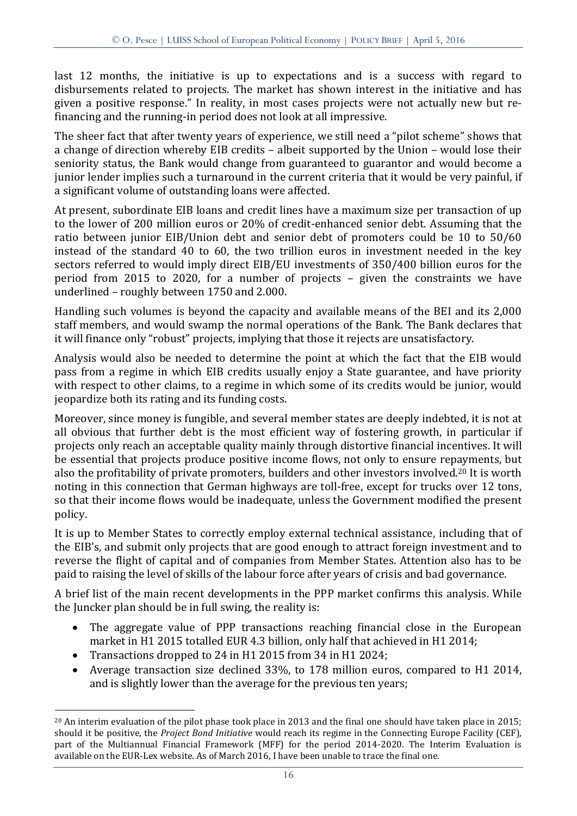last 12 months, the initiative is up to expectations and is a success with regard to disbursements related to projects. The market has shown interest in the initiative and has given a positive response." In reality, in most cases projects were not actually new but refinancing and the running-in period does not look at all impressive.

The sheer fact that after twenty years of experience, we still need a "pilot scheme" shows that a change of direction whereby EIB credits – albeit supported by the Union – would lose their seniority status, the Bank would change from guaranteed to guarantor and would become a junior lender implies such a turnaround in the current criteria that it would be very painful, if a significant volume of outstanding loans were affected.

At present, subordinate EIB loans and credit lines have a maximum size per transaction of up to the lower of 200 million euros or 20% of credit-enhanced senior debt. Assuming that the ratio between junior EIB/Union debt and senior debt of promoters could be 10 to 50/60 instead of the standard 40 to 60, the two trillion euros in investment needed in the key sectors referred to would imply direct EIB/EU investments of 350/400 billion euros for the period from 2015 to 2020, for a number of projects – given the constraints we have underlined – roughly between 1750 and 2.000.

Handling such volumes is beyond the capacity and available means of the BEI and its 2,000 staff members, and would swamp the normal operations of the Bank. The Bank declares that it will finance only "robust" projects, implying that those it rejects are unsatisfactory.

Analysis would also be needed to determine the point at which the fact that the EIB would pass from a regime in which EIB credits usually enjoy a State guarantee, and have priority with respect to other claims, to a regime in which some of its credits would be junior, would jeopardize both its rating and its funding costs.

Moreover, since money is fungible, and several member states are deeply indebted, it is not at all obvious that further debt is the most efficient way of fostering growth, in particular if projects only reach an acceptable quality mainly through distortive financial incentives. It will be essential that projects produce positive income flows, not only to ensure repayments, but also the profitability of private promoters, builders and other investors involved.<sup>20</sup> It is worth noting in this connection that German highways are toll-free, except for trucks over 12 tons, so that their income flows would be inadequate, unless the Government modified the present policy.

It is up to Member States to correctly employ external technical assistance, including that of the EIB's, and submit only projects that are good enough to attract foreign investment and to reverse the flight of capital and of companies from Member States. Attention also has to be paid to raising the level of skills of the labour force after years of crisis and bad governance.

A brief list of the main recent developments in the PPP market confirms this analysis. While the Juncker plan should be in full swing, the reality is:

- The aggregate value of PPP transactions reaching financial close in the European market in H1 2015 totalled EUR 4.3 billion, only half that achieved in H1 2014;
- Transactions dropped to 24 in H1 2015 from 34 in H1 2024;

<u>.</u>

 Average transaction size declined 33%, to 178 million euros, compared to H1 2014, and is slightly lower than the average for the previous ten years;

<sup>20</sup> An interim evaluation of the pilot phase took place in 2013 and the final one should have taken place in 2015; should it be positive, the *Project Bond Initiative* would reach its regime in the Connecting Europe Facility (CEF), part of the Multiannual Financial Framework (MFF) for the period 2014-2020. The Interim Evaluation is available on the EUR-Lex website. As of March 2016, I have been unable to trace the final one.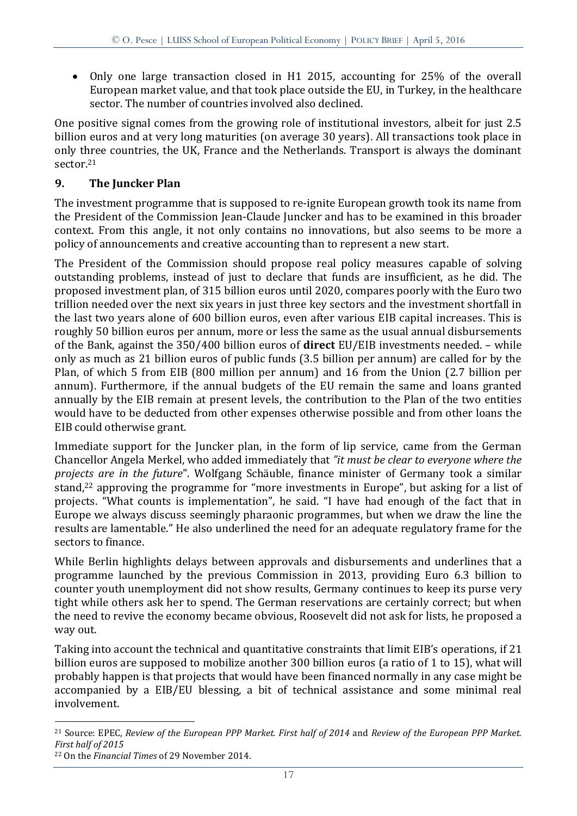Only one large transaction closed in H1 2015, accounting for 25% of the overall European market value, and that took place outside the EU, in Turkey, in the healthcare sector. The number of countries involved also declined.

One positive signal comes from the growing role of institutional investors, albeit for just 2.5 billion euros and at very long maturities (on average 30 years). All transactions took place in only three countries, the UK, France and the Netherlands. Transport is always the dominant sector.<sup>21</sup>

# **9. The Juncker Plan**

The investment programme that is supposed to re-ignite European growth took its name from the President of the Commission Jean-Claude Juncker and has to be examined in this broader context. From this angle, it not only contains no innovations, but also seems to be more a policy of announcements and creative accounting than to represent a new start.

The President of the Commission should propose real policy measures capable of solving outstanding problems, instead of just to declare that funds are insufficient, as he did. The proposed investment plan, of 315 billion euros until 2020, compares poorly with the Euro two trillion needed over the next six years in just three key sectors and the investment shortfall in the last two years alone of 600 billion euros, even after various EIB capital increases. This is roughly 50 billion euros per annum, more or less the same as the usual annual disbursements of the Bank, against the 350/400 billion euros of **direct** EU/EIB investments needed. – while only as much as 21 billion euros of public funds (3.5 billion per annum) are called for by the Plan, of which 5 from EIB (800 million per annum) and 16 from the Union (2.7 billion per annum). Furthermore, if the annual budgets of the EU remain the same and loans granted annually by the EIB remain at present levels, the contribution to the Plan of the two entities would have to be deducted from other expenses otherwise possible and from other loans the EIB could otherwise grant.

Immediate support for the Juncker plan, in the form of lip service, came from the German Chancellor Angela Merkel, who added immediately that *"it must be clear to everyone where the projects are in the future*". Wolfgang Schäuble, finance minister of Germany took a similar stand,<sup>22</sup> approving the programme for "more investments in Europe", but asking for a list of projects. "What counts is implementation", he said. "I have had enough of the fact that in Europe we always discuss seemingly pharaonic programmes, but when we draw the line the results are lamentable." He also underlined the need for an adequate regulatory frame for the sectors to finance.

While Berlin highlights delays between approvals and disbursements and underlines that a programme launched by the previous Commission in 2013, providing Euro 6.3 billion to counter youth unemployment did not show results, Germany continues to keep its purse very tight while others ask her to spend. The German reservations are certainly correct; but when the need to revive the economy became obvious, Roosevelt did not ask for lists, he proposed a way out.

Taking into account the technical and quantitative constraints that limit EIB's operations, if 21 billion euros are supposed to mobilize another 300 billion euros (a ratio of 1 to 15), what will probably happen is that projects that would have been financed normally in any case might be accompanied by a EIB/EU blessing, a bit of technical assistance and some minimal real involvement.

<sup>&</sup>lt;u>.</u> <sup>21</sup> Source: EPEC, *Review of the European PPP Market. First half of 2014* and *Review of the European PPP Market. First half of 2015*

<sup>22</sup> On the *Financial Times* of 29 November 2014.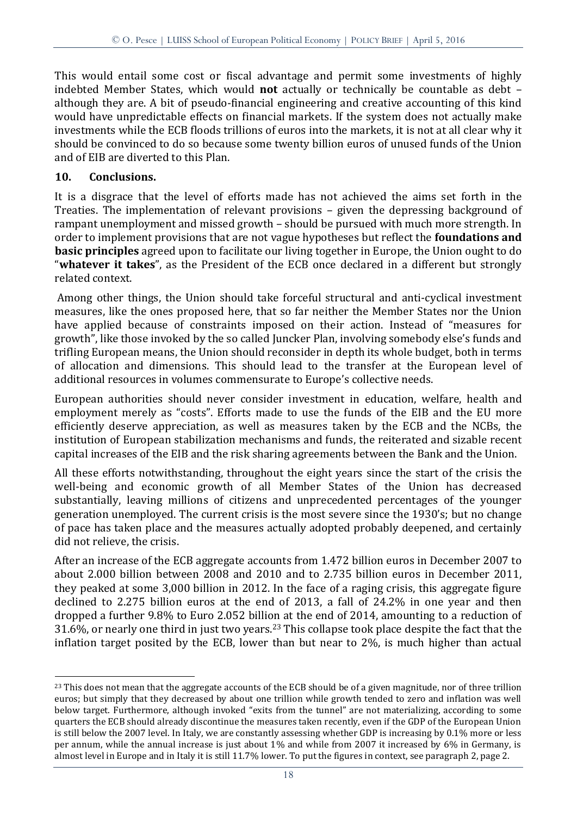This would entail some cost or fiscal advantage and permit some investments of highly indebted Member States, which would **not** actually or technically be countable as debt – although they are. A bit of pseudo-financial engineering and creative accounting of this kind would have unpredictable effects on financial markets. If the system does not actually make investments while the ECB floods trillions of euros into the markets, it is not at all clear why it should be convinced to do so because some twenty billion euros of unused funds of the Union and of EIB are diverted to this Plan.

## **10. Conclusions.**

<u>.</u>

It is a disgrace that the level of efforts made has not achieved the aims set forth in the Treaties. The implementation of relevant provisions – given the depressing background of rampant unemployment and missed growth – should be pursued with much more strength. In order to implement provisions that are not vague hypotheses but reflect the **foundations and basic principles** agreed upon to facilitate our living together in Europe, the Union ought to do "**whatever it takes**", as the President of the ECB once declared in a different but strongly related context.

Among other things, the Union should take forceful structural and anti-cyclical investment measures, like the ones proposed here, that so far neither the Member States nor the Union have applied because of constraints imposed on their action. Instead of "measures for growth", like those invoked by the so called Juncker Plan, involving somebody else's funds and trifling European means, the Union should reconsider in depth its whole budget, both in terms of allocation and dimensions. This should lead to the transfer at the European level of additional resources in volumes commensurate to Europe's collective needs.

European authorities should never consider investment in education, welfare, health and employment merely as "costs". Efforts made to use the funds of the EIB and the EU more efficiently deserve appreciation, as well as measures taken by the ECB and the NCBs, the institution of European stabilization mechanisms and funds, the reiterated and sizable recent capital increases of the EIB and the risk sharing agreements between the Bank and the Union.

All these efforts notwithstanding, throughout the eight years since the start of the crisis the well-being and economic growth of all Member States of the Union has decreased substantially, leaving millions of citizens and unprecedented percentages of the younger generation unemployed. The current crisis is the most severe since the 1930's; but no change of pace has taken place and the measures actually adopted probably deepened, and certainly did not relieve, the crisis.

After an increase of the ECB aggregate accounts from 1.472 billion euros in December 2007 to about 2.000 billion between 2008 and 2010 and to 2.735 billion euros in December 2011, they peaked at some 3,000 billion in 2012. In the face of a raging crisis, this aggregate figure declined to 2.275 billion euros at the end of 2013, a fall of 24.2% in one year and then dropped a further 9.8% to Euro 2.052 billion at the end of 2014, amounting to a reduction of 31.6%, or nearly one third in just two years. <sup>23</sup> This collapse took place despite the fact that the inflation target posited by the ECB, lower than but near to 2%, is much higher than actual

<sup>&</sup>lt;sup>23</sup> This does not mean that the aggregate accounts of the ECB should be of a given magnitude, nor of three trillion euros; but simply that they decreased by about one trillion while growth tended to zero and inflation was well below target. Furthermore, although invoked "exits from the tunnel" are not materializing, according to some quarters the ECB should already discontinue the measures taken recently, even if the GDP of the European Union is still below the 2007 level. In Italy, we are constantly assessing whether GDP is increasing by 0.1% more or less per annum, while the annual increase is just about 1% and while from 2007 it increased by 6% in Germany, is almost level in Europe and in Italy it is still 11.7% lower. To put the figures in context, see paragraph 2, page 2.